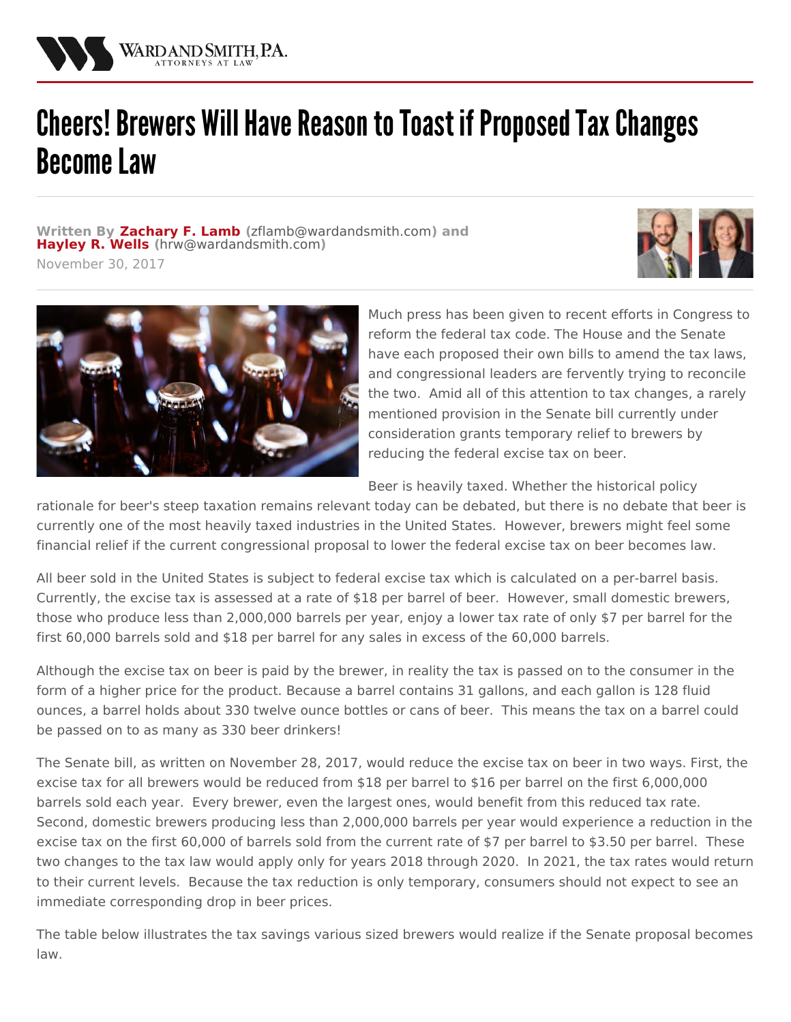

## Cheers! Brewers Will Have Reason to Toast if Proposed Tax Changes **Become Law**

**Written By [Zachary](/attorneys/zachary-lamb) F. Lamb (**[zflamb@wardandsmith.com](mailto:zflamb@wardandsmith.com)**) and [Hayley](/attorneys/hayley-wells) R. Wells (**[hrw@wardandsmith.com](mailto:hrw@wardandsmith.com)**)**

November 30, 2017





Much press has been given to recent efforts in Congress to reform the federal tax code. The House and the Senate have each proposed their own bills to amend the tax laws, and congressional leaders are fervently trying to reconcile the two. Amid all of this attention to tax changes, a rarely mentioned provision in the Senate bill currently under consideration grants temporary relief to brewers by reducing the federal excise tax on beer.

Beer is heavily taxed. Whether the historical policy

rationale for beer's steep taxation remains relevant today can be debated, but there is no debate that beer is currently one of the most heavily taxed industries in the United States. However, brewers might feel some financial relief if the current congressional proposal to lower the federal excise tax on beer becomes law.

All beer sold in the United States is subject to federal excise tax which is calculated on a per-barrel basis. Currently, the excise tax is assessed at a rate of \$18 per barrel of beer. However, small domestic brewers, those who produce less than 2,000,000 barrels per year, enjoy a lower tax rate of only \$7 per barrel for the first 60,000 barrels sold and \$18 per barrel for any sales in excess of the 60,000 barrels.

Although the excise tax on beer is paid by the brewer, in reality the tax is passed on to the consumer in the form of a higher price for the product. Because a barrel contains 31 gallons, and each gallon is 128 fluid ounces, a barrel holds about 330 twelve ounce bottles or cans of beer. This means the tax on a barrel could be passed on to as many as 330 beer drinkers!

The Senate bill, as written on November 28, 2017, would reduce the excise tax on beer in two ways. First, the excise tax for all brewers would be reduced from \$18 per barrel to \$16 per barrel on the first 6,000,000 barrels sold each year. Every brewer, even the largest ones, would benefit from this reduced tax rate. Second, domestic brewers producing less than 2,000,000 barrels per year would experience a reduction in the excise tax on the first 60,000 of barrels sold from the current rate of \$7 per barrel to \$3.50 per barrel. These two changes to the tax law would apply only for years 2018 through 2020. In 2021, the tax rates would return to their current levels. Because the tax reduction is only temporary, consumers should not expect to see an immediate corresponding drop in beer prices.

The table below illustrates the tax savings various sized brewers would realize if the Senate proposal becomes law.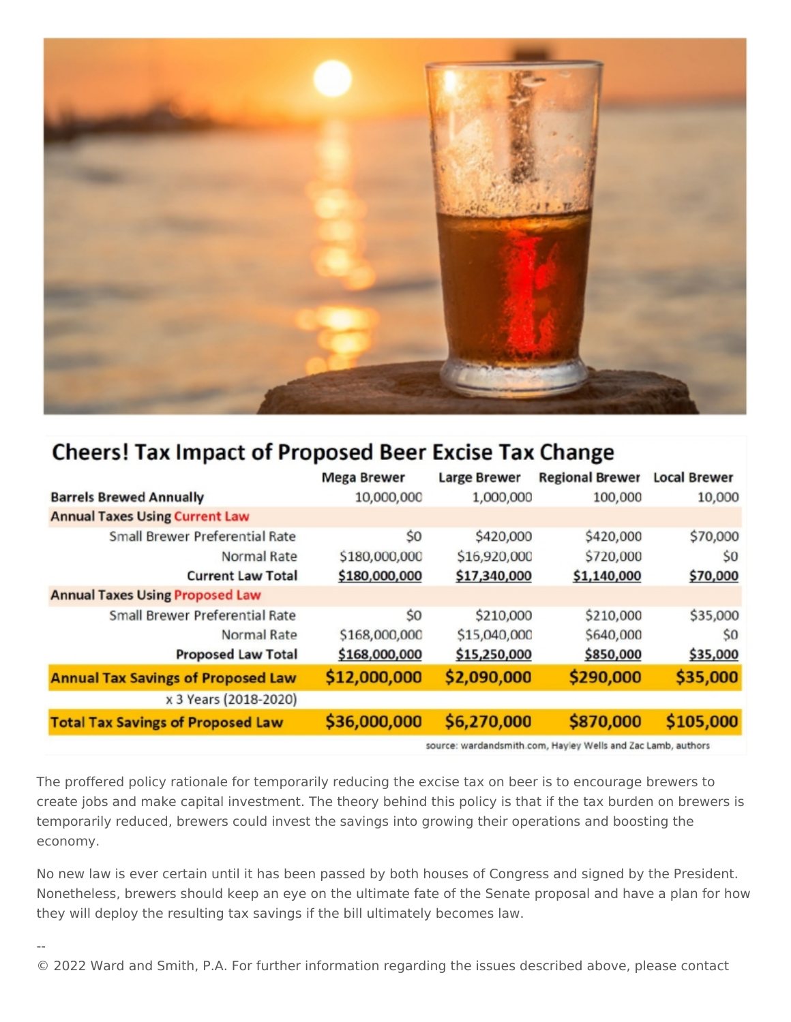

## **Cheers! Tax Impact of Proposed Beer Excise Tax Change**

|                                           | <b>Mega Brewer</b> | <b>Large Brewer</b> | <b>Regional Brewer</b> | <b>Local Brewer</b> |
|-------------------------------------------|--------------------|---------------------|------------------------|---------------------|
| <b>Barrels Brewed Annually</b>            | 10,000,000         | 1,000,000           | 100,000                | 10,000              |
| <b>Annual Taxes Using Current Law</b>     |                    |                     |                        |                     |
| <b>Small Brewer Preferential Rate</b>     | \$0                | \$420,000           | \$420,000              | \$70,000            |
| Normal Rate                               | \$180,000,000      | \$16,920,000        | \$720,000              | \$0                 |
| <b>Current Law Total</b>                  | \$180,000,000      | \$17,340,000        | \$1,140,000            | \$70,000            |
| <b>Annual Taxes Using Proposed Law</b>    |                    |                     |                        |                     |
| Small Brewer Preferential Rate            | \$0                | \$210,000           | \$210,000              | \$35,000            |
| Normal Rate                               | \$168,000,000      | \$15,040,000        | \$640,000              | \$0                 |
| <b>Proposed Law Total</b>                 | \$168,000,000      | \$15,250,000        | \$850,000              | \$35,000            |
| <b>Annual Tax Savings of Proposed Law</b> | \$12,000,000       | \$2,090,000         | \$290,000              | \$35,000            |
| x 3 Years (2018-2020)                     |                    |                     |                        |                     |
| <b>Total Tax Savings of Proposed Law</b>  | \$36,000,000       | \$6,270,000         | \$870,000              | \$105,000           |

source: wardandsmith.com, Hayley Wells and Zac Lamb, authors

The proffered policy rationale for temporarily reducing the excise tax on beer is to encourage brewers to create jobs and make capital investment. The theory behind this policy is that if the tax burden on brewers is temporarily reduced, brewers could invest the savings into growing their operations and boosting the economy.

No new law is ever certain until it has been passed by both houses of Congress and signed by the President. Nonetheless, brewers should keep an eye on the ultimate fate of the Senate proposal and have a plan for how they will deploy the resulting tax savings if the bill ultimately becomes law.

--

© 2022 Ward and Smith, P.A. For further information regarding the issues described above, please contact